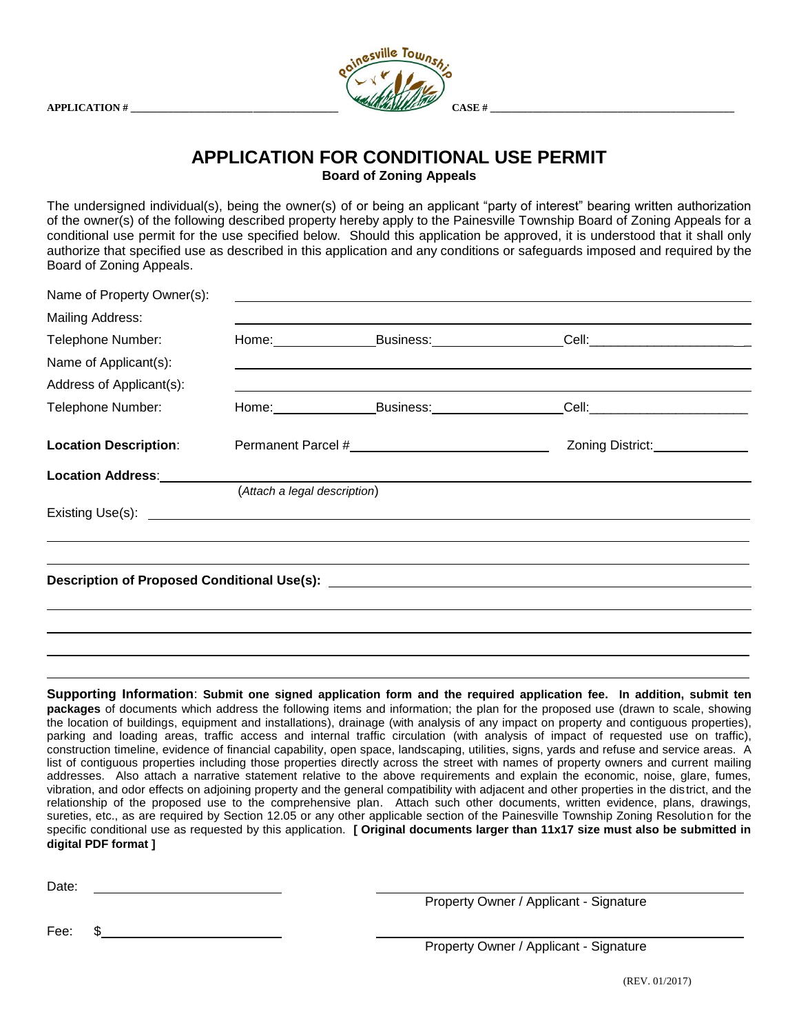

## **APPLICATION FOR CONDITIONAL USE PERMIT Board of Zoning Appeals**

The undersigned individual(s), being the owner(s) of or being an applicant "party of interest" bearing written authorization of the owner(s) of the following described property hereby apply to the Painesville Township Board of Zoning Appeals for a conditional use permit for the use specified below. Should this application be approved, it is understood that it shall only authorize that specified use as described in this application and any conditions or safeguards imposed and required by the Board of Zoning Appeals.

| Name of Property Owner(s):                                                                                                                                                                                                     |                              | ,我们也不会有什么。""我们的人,我们也不会有什么?""我们的人,我们也不会有什么?""我们的人,我们也不会有什么?""我们的人,我们也不会有什么?""我们的人 |                                                                                                                                                                                                                                      |  |
|--------------------------------------------------------------------------------------------------------------------------------------------------------------------------------------------------------------------------------|------------------------------|----------------------------------------------------------------------------------|--------------------------------------------------------------------------------------------------------------------------------------------------------------------------------------------------------------------------------------|--|
| <b>Mailing Address:</b>                                                                                                                                                                                                        |                              |                                                                                  |                                                                                                                                                                                                                                      |  |
| Telephone Number:                                                                                                                                                                                                              |                              |                                                                                  |                                                                                                                                                                                                                                      |  |
| Name of Applicant(s):                                                                                                                                                                                                          |                              |                                                                                  |                                                                                                                                                                                                                                      |  |
| Address of Applicant(s):                                                                                                                                                                                                       |                              | <u> 1989 - Andrea Andrewski, amerikansk politik (d. 1989)</u>                    |                                                                                                                                                                                                                                      |  |
| Telephone Number:                                                                                                                                                                                                              |                              | Home: Business: Business:                                                        | _Cell:____________________________                                                                                                                                                                                                   |  |
| <b>Location Description:</b>                                                                                                                                                                                                   |                              |                                                                                  |                                                                                                                                                                                                                                      |  |
| Location Address: Note that the set of the set of the set of the set of the set of the set of the set of the set of the set of the set of the set of the set of the set of the set of the set of the set of the set of the set |                              |                                                                                  |                                                                                                                                                                                                                                      |  |
|                                                                                                                                                                                                                                | (Attach a legal description) |                                                                                  |                                                                                                                                                                                                                                      |  |
|                                                                                                                                                                                                                                |                              |                                                                                  | Existing Use(s): <u>example and the set of the set of the set of the set of the set of the set of the set of the set of the set of the set of the set of the set of the set of the set of the set of the set of the set of the s</u> |  |
|                                                                                                                                                                                                                                |                              |                                                                                  |                                                                                                                                                                                                                                      |  |
|                                                                                                                                                                                                                                |                              |                                                                                  |                                                                                                                                                                                                                                      |  |
|                                                                                                                                                                                                                                |                              |                                                                                  |                                                                                                                                                                                                                                      |  |
|                                                                                                                                                                                                                                |                              |                                                                                  |                                                                                                                                                                                                                                      |  |
|                                                                                                                                                                                                                                |                              |                                                                                  |                                                                                                                                                                                                                                      |  |
|                                                                                                                                                                                                                                |                              |                                                                                  |                                                                                                                                                                                                                                      |  |

**Supporting Information**: **Submit one signed application form and the required application fee. In addition, submit ten packages** of documents which address the following items and information; the plan for the proposed use (drawn to scale, showing the location of buildings, equipment and installations), drainage (with analysis of any impact on property and contiguous properties), parking and loading areas, traffic access and internal traffic circulation (with analysis of impact of requested use on traffic), construction timeline, evidence of financial capability, open space, landscaping, utilities, signs, yards and refuse and service areas. A list of contiguous properties including those properties directly across the street with names of property owners and current mailing addresses. Also attach a narrative statement relative to the above requirements and explain the economic, noise, glare, fumes, vibration, and odor effects on adjoining property and the general compatibility with adjacent and other properties in the district, and the relationship of the proposed use to the comprehensive plan. Attach such other documents, written evidence, plans, drawings, sureties, etc., as are required by Section 12.05 or any other applicable section of the Painesville Township Zoning Resolution for the specific conditional use as requested by this application. **[ Original documents larger than 11x17 size must also be submitted in digital PDF format ]**

Date: **Date: Date: Date: Date: Date: Date: Date: Date: Date: Date: Date: Date: Date: Date: Date: Date: Date: Date: Date: Date: Date: Date: Date: Date: Date: Date: Date:**

Property Owner / Applicant - Signature

Fee: \$